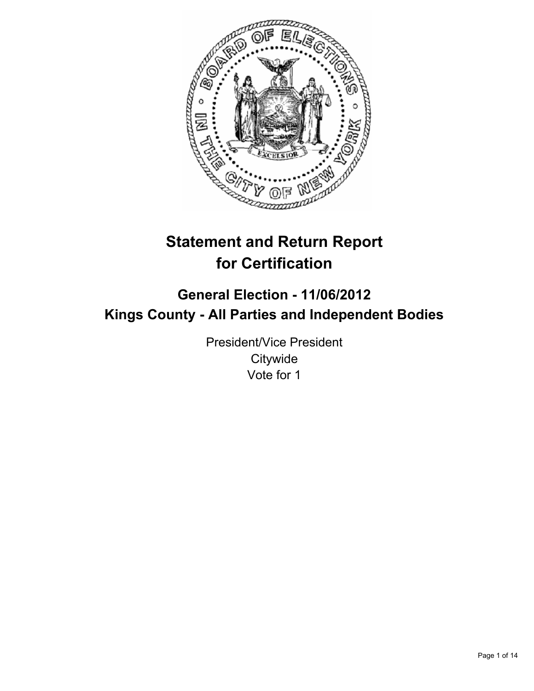

# **Statement and Return Report for Certification**

# **General Election - 11/06/2012 Kings County - All Parties and Independent Bodies**

President/Vice President **Citywide** Vote for 1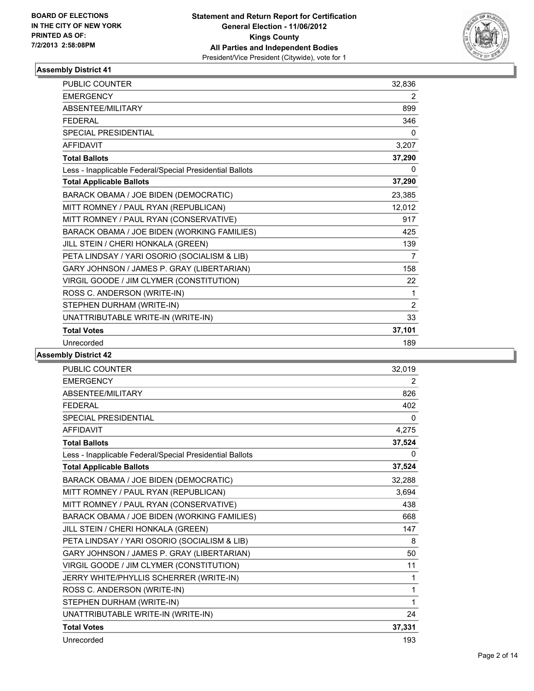

| <b>PUBLIC COUNTER</b>                                    | 32,836 |
|----------------------------------------------------------|--------|
| <b>EMERGENCY</b>                                         | 2      |
| <b>ABSENTEE/MILITARY</b>                                 | 899    |
| <b>FEDERAL</b>                                           | 346    |
| <b>SPECIAL PRESIDENTIAL</b>                              | 0      |
| <b>AFFIDAVIT</b>                                         | 3,207  |
| <b>Total Ballots</b>                                     | 37,290 |
| Less - Inapplicable Federal/Special Presidential Ballots | 0      |
| <b>Total Applicable Ballots</b>                          | 37,290 |
| BARACK OBAMA / JOE BIDEN (DEMOCRATIC)                    | 23,385 |
| MITT ROMNEY / PAUL RYAN (REPUBLICAN)                     | 12,012 |
| MITT ROMNEY / PAUL RYAN (CONSERVATIVE)                   | 917    |
| BARACK OBAMA / JOE BIDEN (WORKING FAMILIES)              | 425    |
| JILL STEIN / CHERI HONKALA (GREEN)                       | 139    |
| PETA LINDSAY / YARI OSORIO (SOCIALISM & LIB)             | 7      |
| GARY JOHNSON / JAMES P. GRAY (LIBERTARIAN)               | 158    |
| VIRGIL GOODE / JIM CLYMER (CONSTITUTION)                 | 22     |
| ROSS C. ANDERSON (WRITE-IN)                              | 1      |
| STEPHEN DURHAM (WRITE-IN)                                | 2      |
| UNATTRIBUTABLE WRITE-IN (WRITE-IN)                       | 33     |
| <b>Total Votes</b>                                       | 37,101 |
| Unrecorded                                               | 189    |

| <b>PUBLIC COUNTER</b>                                    | 32,019 |
|----------------------------------------------------------|--------|
| <b>EMERGENCY</b>                                         | 2      |
| ABSENTEE/MILITARY                                        | 826    |
| <b>FEDERAL</b>                                           | 402    |
| SPECIAL PRESIDENTIAL                                     | 0      |
| <b>AFFIDAVIT</b>                                         | 4,275  |
| <b>Total Ballots</b>                                     | 37,524 |
| Less - Inapplicable Federal/Special Presidential Ballots | 0      |
| <b>Total Applicable Ballots</b>                          | 37,524 |
| BARACK OBAMA / JOE BIDEN (DEMOCRATIC)                    | 32,288 |
| MITT ROMNEY / PAUL RYAN (REPUBLICAN)                     | 3,694  |
| MITT ROMNEY / PAUL RYAN (CONSERVATIVE)                   | 438    |
| BARACK OBAMA / JOE BIDEN (WORKING FAMILIES)              | 668    |
| JILL STEIN / CHERI HONKALA (GREEN)                       | 147    |
| PETA LINDSAY / YARI OSORIO (SOCIALISM & LIB)             | 8      |
| GARY JOHNSON / JAMES P. GRAY (LIBERTARIAN)               | 50     |
| VIRGIL GOODE / JIM CLYMER (CONSTITUTION)                 | 11     |
| JERRY WHITE/PHYLLIS SCHERRER (WRITE-IN)                  | 1      |
| ROSS C. ANDERSON (WRITE-IN)                              | 1      |
| STEPHEN DURHAM (WRITE-IN)                                | 1      |
| UNATTRIBUTABLE WRITE-IN (WRITE-IN)                       | 24     |
| <b>Total Votes</b>                                       | 37,331 |
| Unrecorded                                               | 193    |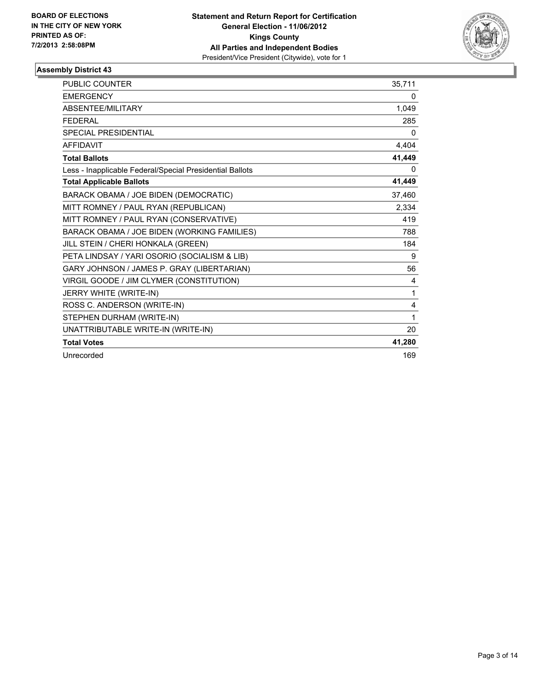

| <b>PUBLIC COUNTER</b>                                    | 35.711       |
|----------------------------------------------------------|--------------|
| <b>EMERGENCY</b>                                         | $\mathbf{0}$ |
| <b>ABSENTEE/MILITARY</b>                                 | 1,049        |
| <b>FEDERAL</b>                                           | 285          |
| <b>SPECIAL PRESIDENTIAL</b>                              | 0            |
| <b>AFFIDAVIT</b>                                         | 4,404        |
| <b>Total Ballots</b>                                     | 41,449       |
| Less - Inapplicable Federal/Special Presidential Ballots | 0            |
| <b>Total Applicable Ballots</b>                          | 41,449       |
| BARACK OBAMA / JOE BIDEN (DEMOCRATIC)                    | 37,460       |
| MITT ROMNEY / PAUL RYAN (REPUBLICAN)                     | 2,334        |
| MITT ROMNEY / PAUL RYAN (CONSERVATIVE)                   | 419          |
| BARACK OBAMA / JOE BIDEN (WORKING FAMILIES)              | 788          |
| JILL STEIN / CHERI HONKALA (GREEN)                       | 184          |
| PETA LINDSAY / YARI OSORIO (SOCIALISM & LIB)             | 9            |
| GARY JOHNSON / JAMES P. GRAY (LIBERTARIAN)               | 56           |
| VIRGIL GOODE / JIM CLYMER (CONSTITUTION)                 | 4            |
| JERRY WHITE (WRITE-IN)                                   | 1            |
| ROSS C. ANDERSON (WRITE-IN)                              | 4            |
| STEPHEN DURHAM (WRITE-IN)                                | 1            |
| UNATTRIBUTABLE WRITE-IN (WRITE-IN)                       | 20           |
| <b>Total Votes</b>                                       | 41,280       |
| Unrecorded                                               | 169          |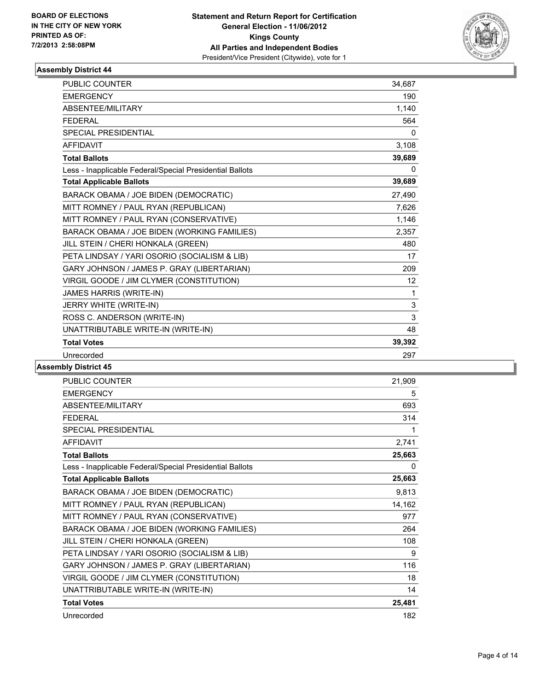

| <b>PUBLIC COUNTER</b>                                    | 34.687 |
|----------------------------------------------------------|--------|
| <b>EMERGENCY</b>                                         | 190    |
| ABSENTEE/MILITARY                                        | 1,140  |
| <b>FEDERAL</b>                                           | 564    |
| <b>SPECIAL PRESIDENTIAL</b>                              | 0      |
| <b>AFFIDAVIT</b>                                         | 3,108  |
| <b>Total Ballots</b>                                     | 39,689 |
| Less - Inapplicable Federal/Special Presidential Ballots | 0      |
| <b>Total Applicable Ballots</b>                          | 39,689 |
| BARACK OBAMA / JOE BIDEN (DEMOCRATIC)                    | 27,490 |
| MITT ROMNEY / PAUL RYAN (REPUBLICAN)                     | 7,626  |
| MITT ROMNEY / PAUL RYAN (CONSERVATIVE)                   | 1,146  |
| BARACK OBAMA / JOE BIDEN (WORKING FAMILIES)              | 2,357  |
| JILL STEIN / CHERI HONKALA (GREEN)                       | 480    |
| PETA LINDSAY / YARI OSORIO (SOCIALISM & LIB)             | 17     |
| GARY JOHNSON / JAMES P. GRAY (LIBERTARIAN)               | 209    |
| VIRGIL GOODE / JIM CLYMER (CONSTITUTION)                 | 12     |
| JAMES HARRIS (WRITE-IN)                                  | 1      |
| JERRY WHITE (WRITE-IN)                                   | 3      |
| ROSS C. ANDERSON (WRITE-IN)                              | 3      |
| UNATTRIBUTABLE WRITE-IN (WRITE-IN)                       | 48     |
| <b>Total Votes</b>                                       | 39,392 |
| Unrecorded                                               | 297    |

| <b>PUBLIC COUNTER</b>                                    | 21,909 |
|----------------------------------------------------------|--------|
| <b>EMERGENCY</b>                                         | 5      |
| ABSENTEE/MILITARY                                        | 693    |
| <b>FEDERAL</b>                                           | 314    |
| <b>SPECIAL PRESIDENTIAL</b>                              | 1      |
| <b>AFFIDAVIT</b>                                         | 2,741  |
| <b>Total Ballots</b>                                     | 25,663 |
| Less - Inapplicable Federal/Special Presidential Ballots | 0      |
| <b>Total Applicable Ballots</b>                          | 25,663 |
| BARACK OBAMA / JOE BIDEN (DEMOCRATIC)                    | 9,813  |
| MITT ROMNEY / PAUL RYAN (REPUBLICAN)                     | 14,162 |
| MITT ROMNEY / PAUL RYAN (CONSERVATIVE)                   | 977    |
| BARACK OBAMA / JOE BIDEN (WORKING FAMILIES)              | 264    |
| JILL STEIN / CHERI HONKALA (GREEN)                       | 108    |
| PETA LINDSAY / YARI OSORIO (SOCIALISM & LIB)             | 9      |
| GARY JOHNSON / JAMES P. GRAY (LIBERTARIAN)               | 116    |
| VIRGIL GOODE / JIM CLYMER (CONSTITUTION)                 | 18     |
| UNATTRIBUTABLE WRITE-IN (WRITE-IN)                       | 14     |
| <b>Total Votes</b>                                       | 25,481 |
| Unrecorded                                               | 182    |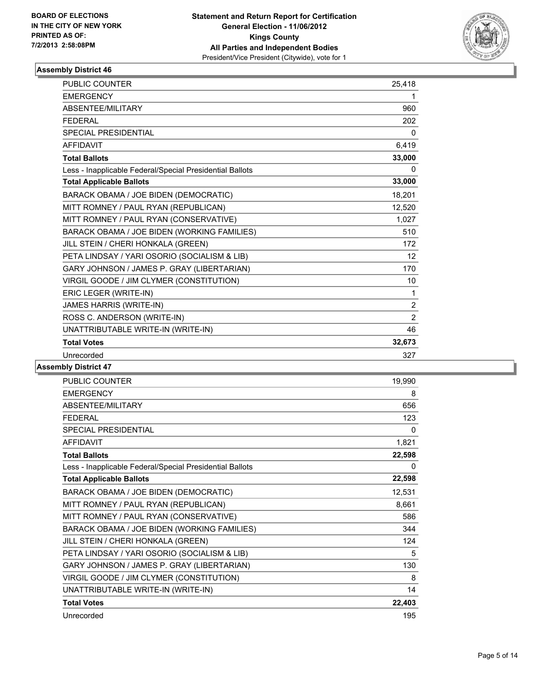

| <b>PUBLIC COUNTER</b>                                    | 25,418 |
|----------------------------------------------------------|--------|
| <b>EMERGENCY</b>                                         | 1      |
| ABSENTEE/MILITARY                                        | 960    |
| <b>FEDERAL</b>                                           | 202    |
| <b>SPECIAL PRESIDENTIAL</b>                              | 0      |
| <b>AFFIDAVIT</b>                                         | 6,419  |
| <b>Total Ballots</b>                                     | 33,000 |
| Less - Inapplicable Federal/Special Presidential Ballots | 0      |
| <b>Total Applicable Ballots</b>                          | 33,000 |
| BARACK OBAMA / JOE BIDEN (DEMOCRATIC)                    | 18,201 |
| MITT ROMNEY / PAUL RYAN (REPUBLICAN)                     | 12,520 |
| MITT ROMNEY / PAUL RYAN (CONSERVATIVE)                   | 1,027  |
| BARACK OBAMA / JOE BIDEN (WORKING FAMILIES)              | 510    |
| JILL STEIN / CHERI HONKALA (GREEN)                       | 172    |
| PETA LINDSAY / YARI OSORIO (SOCIALISM & LIB)             | 12     |
| GARY JOHNSON / JAMES P. GRAY (LIBERTARIAN)               | 170    |
| VIRGIL GOODE / JIM CLYMER (CONSTITUTION)                 | 10     |
| ERIC LEGER (WRITE-IN)                                    | 1      |
| JAMES HARRIS (WRITE-IN)                                  | 2      |
| ROSS C. ANDERSON (WRITE-IN)                              | 2      |
| UNATTRIBUTABLE WRITE-IN (WRITE-IN)                       | 46     |
| <b>Total Votes</b>                                       | 32,673 |
| Unrecorded                                               | 327    |

| PUBLIC COUNTER                                           | 19,990 |
|----------------------------------------------------------|--------|
| <b>EMERGENCY</b>                                         | 8      |
| ABSENTEE/MILITARY                                        | 656    |
| <b>FFDFRAL</b>                                           | 123    |
| <b>SPECIAL PRESIDENTIAL</b>                              | 0      |
| <b>AFFIDAVIT</b>                                         | 1,821  |
| <b>Total Ballots</b>                                     | 22,598 |
| Less - Inapplicable Federal/Special Presidential Ballots | 0      |
| <b>Total Applicable Ballots</b>                          | 22,598 |
| BARACK OBAMA / JOE BIDEN (DEMOCRATIC)                    | 12,531 |
| MITT ROMNEY / PAUL RYAN (REPUBLICAN)                     | 8,661  |
| MITT ROMNEY / PAUL RYAN (CONSERVATIVE)                   | 586    |
| BARACK OBAMA / JOE BIDEN (WORKING FAMILIES)              | 344    |
| JILL STEIN / CHERI HONKALA (GREEN)                       | 124    |
| PETA LINDSAY / YARI OSORIO (SOCIALISM & LIB)             | 5      |
| GARY JOHNSON / JAMES P. GRAY (LIBERTARIAN)               | 130    |
| VIRGIL GOODE / JIM CLYMER (CONSTITUTION)                 | 8      |
| UNATTRIBUTABLE WRITE-IN (WRITE-IN)                       | 14     |
| <b>Total Votes</b>                                       | 22,403 |
| Unrecorded                                               | 195    |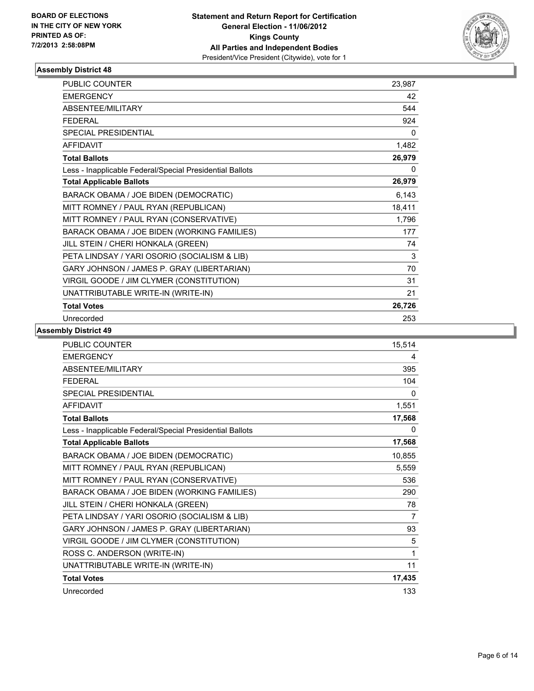

| <b>PUBLIC COUNTER</b>                                    | 23,987 |
|----------------------------------------------------------|--------|
| <b>EMERGENCY</b>                                         | 42     |
| ABSENTEE/MILITARY                                        | 544    |
| <b>FEDERAL</b>                                           | 924    |
| <b>SPECIAL PRESIDENTIAL</b>                              | 0      |
| <b>AFFIDAVIT</b>                                         | 1,482  |
| <b>Total Ballots</b>                                     | 26,979 |
| Less - Inapplicable Federal/Special Presidential Ballots | 0      |
| <b>Total Applicable Ballots</b>                          | 26,979 |
| BARACK OBAMA / JOE BIDEN (DEMOCRATIC)                    | 6,143  |
| MITT ROMNEY / PAUL RYAN (REPUBLICAN)                     | 18,411 |
| MITT ROMNEY / PAUL RYAN (CONSERVATIVE)                   | 1,796  |
| BARACK OBAMA / JOE BIDEN (WORKING FAMILIES)              | 177    |
| JILL STEIN / CHERI HONKALA (GREEN)                       | 74     |
| PETA LINDSAY / YARI OSORIO (SOCIALISM & LIB)             | 3      |
| GARY JOHNSON / JAMES P. GRAY (LIBERTARIAN)               | 70     |
| VIRGIL GOODE / JIM CLYMER (CONSTITUTION)                 | 31     |
| UNATTRIBUTABLE WRITE-IN (WRITE-IN)                       | 21     |
| <b>Total Votes</b>                                       | 26,726 |
| Unrecorded                                               | 253    |

| <b>PUBLIC COUNTER</b>                                    | 15,514 |
|----------------------------------------------------------|--------|
| <b>EMERGENCY</b>                                         | 4      |
| ABSENTEE/MILITARY                                        | 395    |
| <b>FFDFRAL</b>                                           | 104    |
| <b>SPECIAL PRESIDENTIAL</b>                              | 0      |
| <b>AFFIDAVIT</b>                                         | 1,551  |
| <b>Total Ballots</b>                                     | 17,568 |
| Less - Inapplicable Federal/Special Presidential Ballots | 0      |
| <b>Total Applicable Ballots</b>                          | 17,568 |
| BARACK OBAMA / JOE BIDEN (DEMOCRATIC)                    | 10,855 |
| MITT ROMNEY / PAUL RYAN (REPUBLICAN)                     | 5,559  |
| MITT ROMNEY / PAUL RYAN (CONSERVATIVE)                   | 536    |
| BARACK OBAMA / JOE BIDEN (WORKING FAMILIES)              | 290    |
| JILL STEIN / CHERI HONKALA (GREEN)                       | 78     |
| PETA LINDSAY / YARI OSORIO (SOCIALISM & LIB)             | 7      |
| GARY JOHNSON / JAMES P. GRAY (LIBERTARIAN)               | 93     |
| VIRGIL GOODE / JIM CLYMER (CONSTITUTION)                 | 5      |
| ROSS C. ANDERSON (WRITE-IN)                              | 1      |
| UNATTRIBUTABLE WRITE-IN (WRITE-IN)                       | 11     |
| <b>Total Votes</b>                                       | 17,435 |
| Unrecorded                                               | 133    |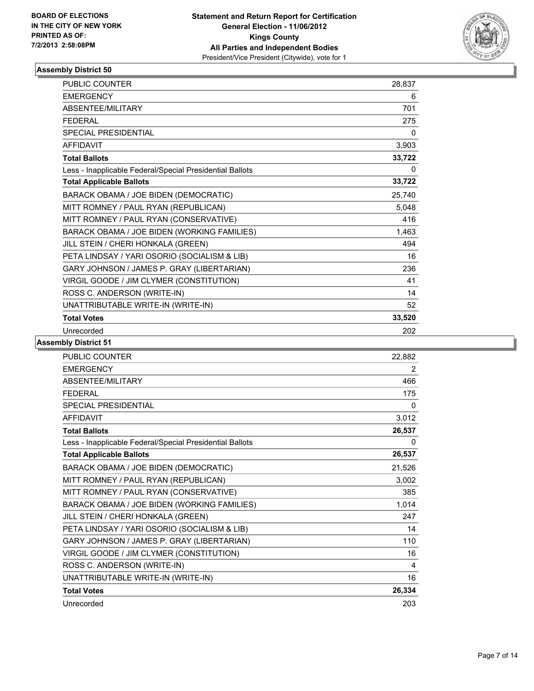

| <b>PUBLIC COUNTER</b>                                    | 28,837 |
|----------------------------------------------------------|--------|
| <b>EMERGENCY</b>                                         | 6      |
| ABSENTEE/MILITARY                                        | 701    |
| <b>FFDFRAL</b>                                           | 275    |
| <b>SPECIAL PRESIDENTIAL</b>                              | 0      |
| <b>AFFIDAVIT</b>                                         | 3,903  |
| <b>Total Ballots</b>                                     | 33,722 |
| Less - Inapplicable Federal/Special Presidential Ballots | 0      |
| <b>Total Applicable Ballots</b>                          | 33,722 |
| BARACK OBAMA / JOE BIDEN (DEMOCRATIC)                    | 25,740 |
| MITT ROMNEY / PAUL RYAN (REPUBLICAN)                     | 5,048  |
| MITT ROMNEY / PAUL RYAN (CONSERVATIVE)                   | 416    |
| BARACK OBAMA / JOE BIDEN (WORKING FAMILIES)              | 1,463  |
| JILL STEIN / CHERI HONKALA (GREEN)                       | 494    |
| PETA LINDSAY / YARI OSORIO (SOCIALISM & LIB)             | 16     |
| GARY JOHNSON / JAMES P. GRAY (LIBERTARIAN)               | 236    |
| VIRGIL GOODE / JIM CLYMER (CONSTITUTION)                 | 41     |
| ROSS C. ANDERSON (WRITE-IN)                              | 14     |
| UNATTRIBUTABLE WRITE-IN (WRITE-IN)                       | 52     |
| <b>Total Votes</b>                                       | 33,520 |
| Unrecorded                                               | 202    |

| <b>PUBLIC COUNTER</b>                                    | 22,882 |
|----------------------------------------------------------|--------|
| <b>EMERGENCY</b>                                         | 2      |
| <b>ABSENTEE/MILITARY</b>                                 | 466    |
| <b>FEDERAL</b>                                           | 175    |
| <b>SPECIAL PRESIDENTIAL</b>                              | 0      |
| <b>AFFIDAVIT</b>                                         | 3,012  |
| <b>Total Ballots</b>                                     | 26,537 |
| Less - Inapplicable Federal/Special Presidential Ballots | 0      |
| <b>Total Applicable Ballots</b>                          | 26,537 |
| BARACK OBAMA / JOE BIDEN (DEMOCRATIC)                    | 21,526 |
| MITT ROMNEY / PAUL RYAN (REPUBLICAN)                     | 3,002  |
| MITT ROMNEY / PAUL RYAN (CONSERVATIVE)                   | 385    |
| BARACK OBAMA / JOE BIDEN (WORKING FAMILIES)              | 1,014  |
| JILL STEIN / CHERI HONKALA (GREEN)                       | 247    |
| PETA LINDSAY / YARI OSORIO (SOCIALISM & LIB)             | 14     |
| GARY JOHNSON / JAMES P. GRAY (LIBERTARIAN)               | 110    |
| VIRGIL GOODE / JIM CLYMER (CONSTITUTION)                 | 16     |
| ROSS C. ANDERSON (WRITE-IN)                              | 4      |
| UNATTRIBUTABLE WRITE-IN (WRITE-IN)                       | 16     |
| <b>Total Votes</b>                                       | 26,334 |
| Unrecorded                                               | 203    |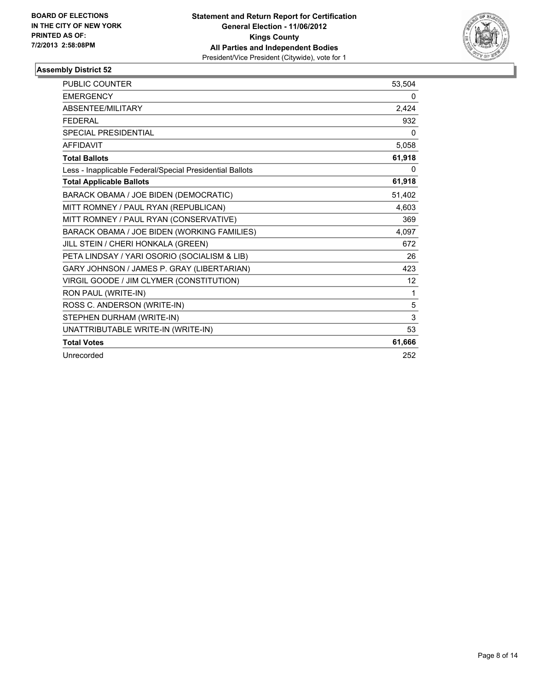

| <b>PUBLIC COUNTER</b>                                    | 53,504 |
|----------------------------------------------------------|--------|
| <b>EMERGENCY</b>                                         | 0      |
| <b>ABSENTEE/MILITARY</b>                                 | 2,424  |
| <b>FEDERAL</b>                                           | 932    |
| <b>SPECIAL PRESIDENTIAL</b>                              | 0      |
| <b>AFFIDAVIT</b>                                         | 5,058  |
| <b>Total Ballots</b>                                     | 61,918 |
| Less - Inapplicable Federal/Special Presidential Ballots | 0      |
| <b>Total Applicable Ballots</b>                          | 61,918 |
| BARACK OBAMA / JOE BIDEN (DEMOCRATIC)                    | 51,402 |
| MITT ROMNEY / PAUL RYAN (REPUBLICAN)                     | 4,603  |
| MITT ROMNEY / PAUL RYAN (CONSERVATIVE)                   | 369    |
| BARACK OBAMA / JOE BIDEN (WORKING FAMILIES)              | 4,097  |
| JILL STEIN / CHERI HONKALA (GREEN)                       | 672    |
| PETA LINDSAY / YARI OSORIO (SOCIALISM & LIB)             | 26     |
| GARY JOHNSON / JAMES P. GRAY (LIBERTARIAN)               | 423    |
| VIRGIL GOODE / JIM CLYMER (CONSTITUTION)                 | 12     |
| RON PAUL (WRITE-IN)                                      | 1      |
| ROSS C. ANDERSON (WRITE-IN)                              | 5      |
| STEPHEN DURHAM (WRITE-IN)                                | 3      |
| UNATTRIBUTABLE WRITE-IN (WRITE-IN)                       | 53     |
| <b>Total Votes</b>                                       | 61,666 |
| Unrecorded                                               | 252    |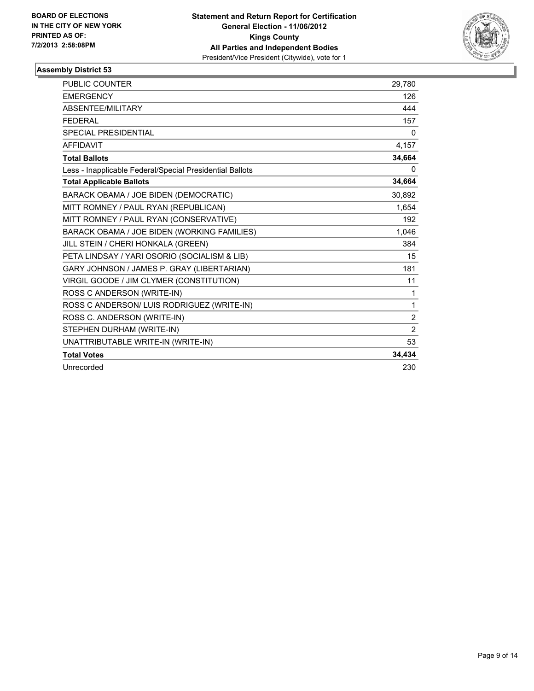

| <b>PUBLIC COUNTER</b>                                    | 29,780         |
|----------------------------------------------------------|----------------|
| <b>EMERGENCY</b>                                         | 126            |
| <b>ABSENTEE/MILITARY</b>                                 | 444            |
| <b>FEDERAL</b>                                           | 157            |
| <b>SPECIAL PRESIDENTIAL</b>                              | $\mathbf{0}$   |
| <b>AFFIDAVIT</b>                                         | 4,157          |
| <b>Total Ballots</b>                                     | 34,664         |
| Less - Inapplicable Federal/Special Presidential Ballots | 0              |
| <b>Total Applicable Ballots</b>                          | 34,664         |
| BARACK OBAMA / JOE BIDEN (DEMOCRATIC)                    | 30,892         |
| MITT ROMNEY / PAUL RYAN (REPUBLICAN)                     | 1,654          |
| MITT ROMNEY / PAUL RYAN (CONSERVATIVE)                   | 192            |
| BARACK OBAMA / JOE BIDEN (WORKING FAMILIES)              | 1,046          |
| JILL STEIN / CHERI HONKALA (GREEN)                       | 384            |
| PETA LINDSAY / YARI OSORIO (SOCIALISM & LIB)             | 15             |
| GARY JOHNSON / JAMES P. GRAY (LIBERTARIAN)               | 181            |
| VIRGIL GOODE / JIM CLYMER (CONSTITUTION)                 | 11             |
| ROSS C ANDERSON (WRITE-IN)                               | 1              |
| ROSS C ANDERSON/ LUIS RODRIGUEZ (WRITE-IN)               | 1              |
| ROSS C. ANDERSON (WRITE-IN)                              | $\overline{2}$ |
| STEPHEN DURHAM (WRITE-IN)                                | $\overline{2}$ |
| UNATTRIBUTABLE WRITE-IN (WRITE-IN)                       | 53             |
| <b>Total Votes</b>                                       | 34,434         |
| Unrecorded                                               | 230            |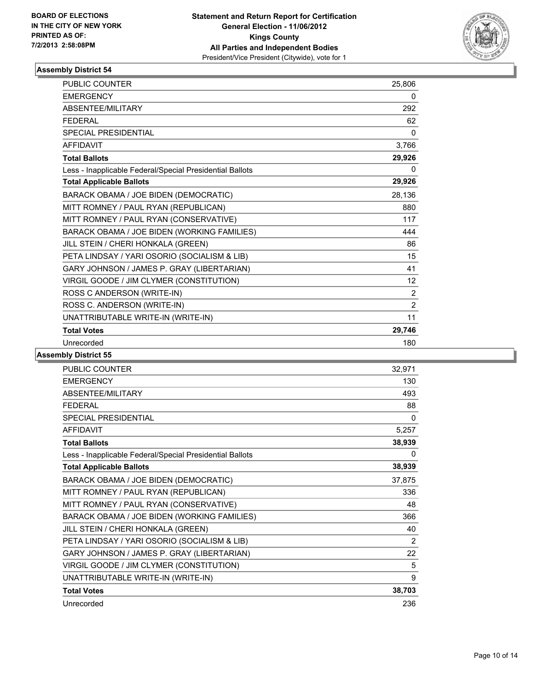

| <b>PUBLIC COUNTER</b>                                    | 25,806         |
|----------------------------------------------------------|----------------|
| <b>EMERGENCY</b>                                         | 0              |
| ABSENTEE/MILITARY                                        | 292            |
| <b>FFDFRAL</b>                                           | 62             |
| <b>SPECIAL PRESIDENTIAL</b>                              | 0              |
| <b>AFFIDAVIT</b>                                         | 3,766          |
| <b>Total Ballots</b>                                     | 29,926         |
| Less - Inapplicable Federal/Special Presidential Ballots | 0              |
| <b>Total Applicable Ballots</b>                          | 29,926         |
| BARACK OBAMA / JOE BIDEN (DEMOCRATIC)                    | 28,136         |
| MITT ROMNEY / PAUL RYAN (REPUBLICAN)                     | 880            |
| MITT ROMNEY / PAUL RYAN (CONSERVATIVE)                   | 117            |
| BARACK OBAMA / JOE BIDEN (WORKING FAMILIES)              | 444            |
| JILL STEIN / CHERI HONKALA (GREEN)                       | 86             |
| PETA LINDSAY / YARI OSORIO (SOCIALISM & LIB)             | 15             |
| GARY JOHNSON / JAMES P. GRAY (LIBERTARIAN)               | 41             |
| VIRGIL GOODE / JIM CLYMER (CONSTITUTION)                 | 12             |
| ROSS C ANDERSON (WRITE-IN)                               | 2              |
| ROSS C. ANDERSON (WRITE-IN)                              | $\overline{2}$ |
| UNATTRIBUTABLE WRITE-IN (WRITE-IN)                       | 11             |
| <b>Total Votes</b>                                       | 29,746         |
| Unrecorded                                               | 180            |

| <b>PUBLIC COUNTER</b>                                    | 32,971 |
|----------------------------------------------------------|--------|
| <b>EMERGENCY</b>                                         | 130    |
| ABSENTEE/MILITARY                                        | 493    |
| <b>FEDERAL</b>                                           | 88     |
| SPECIAL PRESIDENTIAL                                     | 0      |
| <b>AFFIDAVIT</b>                                         | 5,257  |
| <b>Total Ballots</b>                                     | 38,939 |
| Less - Inapplicable Federal/Special Presidential Ballots | 0      |
| <b>Total Applicable Ballots</b>                          | 38,939 |
| BARACK OBAMA / JOE BIDEN (DEMOCRATIC)                    | 37,875 |
| MITT ROMNEY / PAUL RYAN (REPUBLICAN)                     | 336    |
| MITT ROMNEY / PAUL RYAN (CONSERVATIVE)                   | 48     |
| BARACK OBAMA / JOE BIDEN (WORKING FAMILIES)              | 366    |
| JILL STEIN / CHERI HONKALA (GREEN)                       | 40     |
| PETA LINDSAY / YARI OSORIO (SOCIALISM & LIB)             | 2      |
| GARY JOHNSON / JAMES P. GRAY (LIBERTARIAN)               | 22     |
| VIRGIL GOODE / JIM CLYMER (CONSTITUTION)                 | 5      |
| UNATTRIBUTABLE WRITE-IN (WRITE-IN)                       | 9      |
| <b>Total Votes</b>                                       | 38,703 |
| Unrecorded                                               | 236    |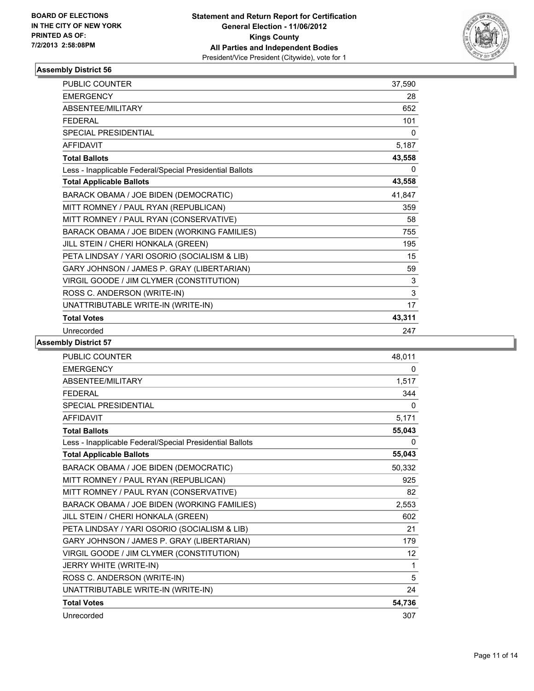

| <b>PUBLIC COUNTER</b>                                    | 37,590 |
|----------------------------------------------------------|--------|
| <b>EMERGENCY</b>                                         | 28     |
| ABSENTEE/MILITARY                                        | 652    |
| <b>FFDFRAI</b>                                           | 101    |
| <b>SPECIAL PRESIDENTIAL</b>                              | 0      |
| <b>AFFIDAVIT</b>                                         | 5,187  |
| <b>Total Ballots</b>                                     | 43,558 |
| Less - Inapplicable Federal/Special Presidential Ballots | 0      |
| <b>Total Applicable Ballots</b>                          | 43,558 |
| BARACK OBAMA / JOE BIDEN (DEMOCRATIC)                    | 41,847 |
| MITT ROMNEY / PAUL RYAN (REPUBLICAN)                     | 359    |
| MITT ROMNEY / PAUL RYAN (CONSERVATIVE)                   | 58     |
| BARACK OBAMA / JOE BIDEN (WORKING FAMILIES)              | 755    |
| JILL STEIN / CHERI HONKALA (GREEN)                       | 195    |
| PETA LINDSAY / YARI OSORIO (SOCIALISM & LIB)             | 15     |
| GARY JOHNSON / JAMES P. GRAY (LIBERTARIAN)               | 59     |
| VIRGIL GOODE / JIM CLYMER (CONSTITUTION)                 | 3      |
| ROSS C. ANDERSON (WRITE-IN)                              | 3      |
| UNATTRIBUTABLE WRITE-IN (WRITE-IN)                       | 17     |
| <b>Total Votes</b>                                       | 43,311 |
| Unrecorded                                               | 247    |

| <b>PUBLIC COUNTER</b>                                    | 48,011 |
|----------------------------------------------------------|--------|
| <b>EMERGENCY</b>                                         | 0      |
| ABSENTEE/MILITARY                                        | 1,517  |
| <b>FEDERAL</b>                                           | 344    |
| <b>SPECIAL PRESIDENTIAL</b>                              | 0      |
| <b>AFFIDAVIT</b>                                         | 5,171  |
| <b>Total Ballots</b>                                     | 55,043 |
| Less - Inapplicable Federal/Special Presidential Ballots | 0      |
| <b>Total Applicable Ballots</b>                          | 55,043 |
| BARACK OBAMA / JOE BIDEN (DEMOCRATIC)                    | 50,332 |
| MITT ROMNEY / PAUL RYAN (REPUBLICAN)                     | 925    |
| MITT ROMNEY / PAUL RYAN (CONSERVATIVE)                   | 82     |
| BARACK OBAMA / JOE BIDEN (WORKING FAMILIES)              | 2,553  |
| JILL STEIN / CHERI HONKALA (GREEN)                       | 602    |
| PETA LINDSAY / YARI OSORIO (SOCIALISM & LIB)             | 21     |
| GARY JOHNSON / JAMES P. GRAY (LIBERTARIAN)               | 179    |
| VIRGIL GOODE / JIM CLYMER (CONSTITUTION)                 | 12     |
| JERRY WHITE (WRITE-IN)                                   | 1      |
| ROSS C. ANDERSON (WRITE-IN)                              | 5      |
| UNATTRIBUTABLE WRITE-IN (WRITE-IN)                       | 24     |
| <b>Total Votes</b>                                       | 54,736 |
| Unrecorded                                               | 307    |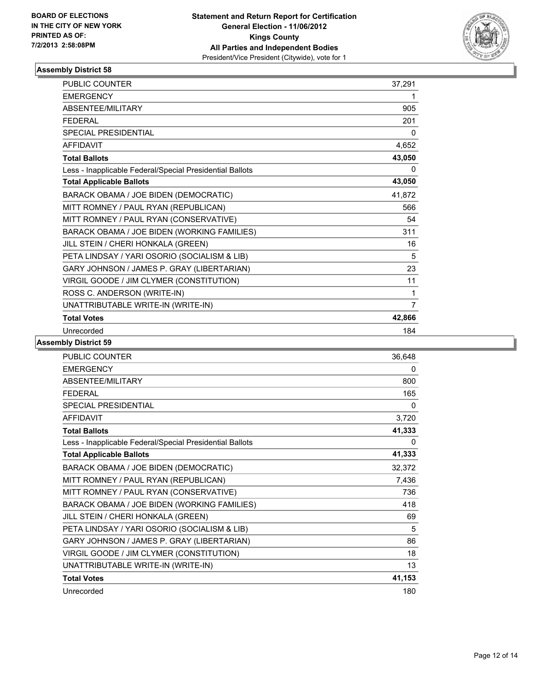

| <b>PUBLIC COUNTER</b>                                    | 37,291 |
|----------------------------------------------------------|--------|
| <b>EMERGENCY</b>                                         | 1      |
| ABSENTEE/MILITARY                                        | 905    |
| <b>FFDFRAL</b>                                           | 201    |
| <b>SPECIAL PRESIDENTIAL</b>                              | 0      |
| <b>AFFIDAVIT</b>                                         | 4,652  |
| <b>Total Ballots</b>                                     | 43,050 |
| Less - Inapplicable Federal/Special Presidential Ballots | 0      |
| <b>Total Applicable Ballots</b>                          | 43,050 |
| BARACK OBAMA / JOE BIDEN (DEMOCRATIC)                    | 41,872 |
| MITT ROMNEY / PAUL RYAN (REPUBLICAN)                     | 566    |
| MITT ROMNEY / PAUL RYAN (CONSERVATIVE)                   | 54     |
| BARACK OBAMA / JOE BIDEN (WORKING FAMILIES)              | 311    |
| JILL STEIN / CHERI HONKALA (GREEN)                       | 16     |
| PETA LINDSAY / YARI OSORIO (SOCIALISM & LIB)             | 5      |
| GARY JOHNSON / JAMES P. GRAY (LIBERTARIAN)               | 23     |
| VIRGIL GOODE / JIM CLYMER (CONSTITUTION)                 | 11     |
| ROSS C. ANDERSON (WRITE-IN)                              | 1      |
| UNATTRIBUTABLE WRITE-IN (WRITE-IN)                       | 7      |
| <b>Total Votes</b>                                       | 42,866 |
| Unrecorded                                               | 184    |

| <b>PUBLIC COUNTER</b>                                    | 36,648 |
|----------------------------------------------------------|--------|
| <b>EMERGENCY</b>                                         | 0      |
| <b>ABSENTEE/MILITARY</b>                                 | 800    |
| <b>FEDERAL</b>                                           | 165    |
| <b>SPECIAL PRESIDENTIAL</b>                              | 0      |
| <b>AFFIDAVIT</b>                                         | 3,720  |
| <b>Total Ballots</b>                                     | 41,333 |
| Less - Inapplicable Federal/Special Presidential Ballots | 0      |
| <b>Total Applicable Ballots</b>                          | 41,333 |
| BARACK OBAMA / JOE BIDEN (DEMOCRATIC)                    | 32,372 |
| MITT ROMNEY / PAUL RYAN (REPUBLICAN)                     | 7,436  |
| MITT ROMNEY / PAUL RYAN (CONSERVATIVE)                   | 736    |
| BARACK OBAMA / JOE BIDEN (WORKING FAMILIES)              | 418    |
| JILL STEIN / CHERI HONKALA (GREEN)                       | 69     |
| PETA LINDSAY / YARI OSORIO (SOCIALISM & LIB)             | 5      |
| GARY JOHNSON / JAMES P. GRAY (LIBERTARIAN)               | 86     |
| VIRGIL GOODE / JIM CLYMER (CONSTITUTION)                 | 18     |
| UNATTRIBUTABLE WRITE-IN (WRITE-IN)                       | 13     |
| <b>Total Votes</b>                                       | 41,153 |
| Unrecorded                                               | 180    |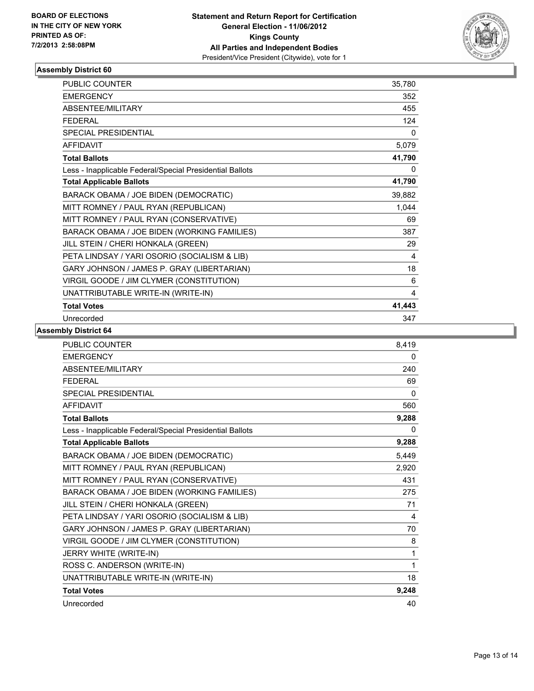

| <b>PUBLIC COUNTER</b>                                    | 35,780       |
|----------------------------------------------------------|--------------|
| <b>EMERGENCY</b>                                         | 352          |
| ABSENTEE/MILITARY                                        | 455          |
| <b>FEDERAL</b>                                           | 124          |
| SPECIAL PRESIDENTIAL                                     | $\mathbf{0}$ |
| <b>AFFIDAVIT</b>                                         | 5,079        |
| <b>Total Ballots</b>                                     | 41,790       |
| Less - Inapplicable Federal/Special Presidential Ballots | 0            |
| <b>Total Applicable Ballots</b>                          | 41,790       |
| BARACK OBAMA / JOE BIDEN (DEMOCRATIC)                    | 39,882       |
| MITT ROMNEY / PAUL RYAN (REPUBLICAN)                     | 1,044        |
| MITT ROMNEY / PAUL RYAN (CONSERVATIVE)                   | 69           |
| BARACK OBAMA / JOE BIDEN (WORKING FAMILIES)              | 387          |
| JILL STEIN / CHERI HONKALA (GREEN)                       | 29           |
| PETA LINDSAY / YARI OSORIO (SOCIALISM & LIB)             | 4            |
| GARY JOHNSON / JAMES P. GRAY (LIBERTARIAN)               | 18           |
| VIRGIL GOODE / JIM CLYMER (CONSTITUTION)                 | 6            |
| UNATTRIBUTABLE WRITE-IN (WRITE-IN)                       | 4            |
| <b>Total Votes</b>                                       | 41,443       |
| Unrecorded                                               | 347          |

| <b>PUBLIC COUNTER</b>                                    | 8.419    |
|----------------------------------------------------------|----------|
| <b>EMERGENCY</b>                                         | 0        |
| ABSENTEE/MILITARY                                        | 240      |
| <b>FFDFRAI</b>                                           | 69       |
| SPECIAL PRESIDENTIAL                                     | $\Omega$ |
| <b>AFFIDAVIT</b>                                         | 560      |
| <b>Total Ballots</b>                                     | 9,288    |
| Less - Inapplicable Federal/Special Presidential Ballots | 0        |
| <b>Total Applicable Ballots</b>                          | 9,288    |
| BARACK OBAMA / JOE BIDEN (DEMOCRATIC)                    | 5,449    |
| MITT ROMNEY / PAUL RYAN (REPUBLICAN)                     | 2,920    |
| MITT ROMNEY / PAUL RYAN (CONSERVATIVE)                   | 431      |
| BARACK OBAMA / JOE BIDEN (WORKING FAMILIES)              | 275      |
| JILL STEIN / CHERI HONKALA (GREEN)                       | 71       |
| PETA LINDSAY / YARI OSORIO (SOCIALISM & LIB)             | 4        |
| GARY JOHNSON / JAMES P. GRAY (LIBERTARIAN)               | 70       |
| VIRGIL GOODE / JIM CLYMER (CONSTITUTION)                 | 8        |
| JERRY WHITE (WRITE-IN)                                   | 1        |
| ROSS C. ANDERSON (WRITE-IN)                              | 1        |
| UNATTRIBUTABLE WRITE-IN (WRITE-IN)                       | 18       |
| <b>Total Votes</b>                                       | 9,248    |
| Unrecorded                                               | 40       |